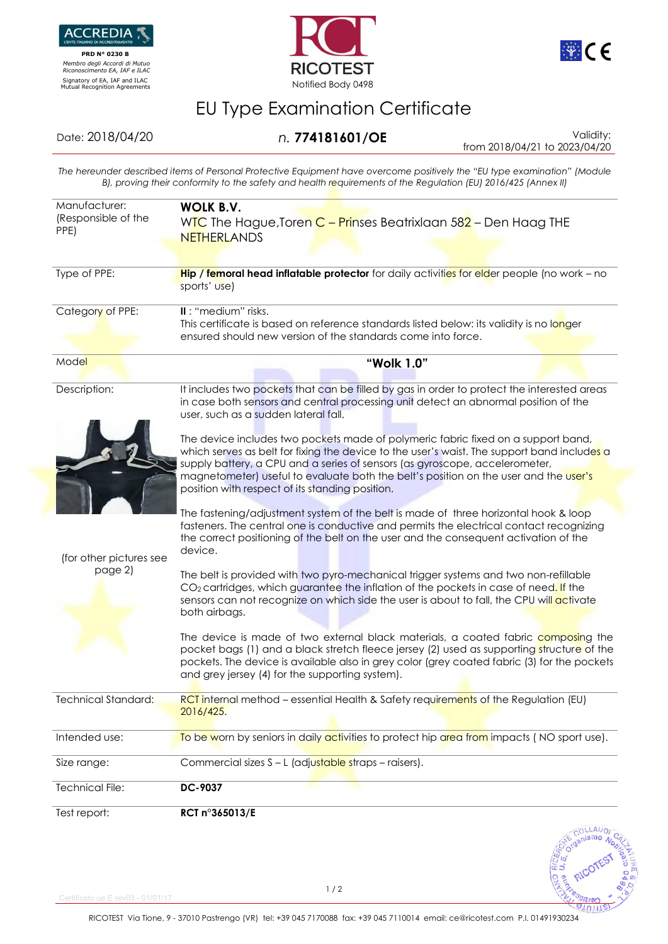

 **PRD N° 0230 B**  *Membro degli Accordi di Mutuo Riconoscimento EA, IAF e ILAC*





## EU Type Examination Certificate

Date: 2018/04/20 *n.* **774181601/OE** Validity: from 2018/04/21 to 2023/04/20

*The hereunder described items of Personal Protective Equipment have overcome positively the "EU type examination" (Module B), proving their conformity to the safety and health requirements of the Regulation (EU) 2016/425 (Annex II)*

| Manufacturer:<br>(Responsible of the<br>PPE)       | <b>WOLK B.V.</b><br>WIC The Hague, Toren C – Prinses Beatrixlaan 582 – Den Haag THE<br><b>NETHERLANDS</b>                                                                                                                                                                                                                                                                                                                                                                                                                                                                                                                                                                                                                                                                                                                                                                                                                                                                                                                                                                                                                                                                                                                                                                                                                                                                                                                                                                                                                                                                 |
|----------------------------------------------------|---------------------------------------------------------------------------------------------------------------------------------------------------------------------------------------------------------------------------------------------------------------------------------------------------------------------------------------------------------------------------------------------------------------------------------------------------------------------------------------------------------------------------------------------------------------------------------------------------------------------------------------------------------------------------------------------------------------------------------------------------------------------------------------------------------------------------------------------------------------------------------------------------------------------------------------------------------------------------------------------------------------------------------------------------------------------------------------------------------------------------------------------------------------------------------------------------------------------------------------------------------------------------------------------------------------------------------------------------------------------------------------------------------------------------------------------------------------------------------------------------------------------------------------------------------------------------|
| Type of PPE:                                       | Hip / femoral head inflatable protector for daily activities for elder people (no work - no<br>sports' use)                                                                                                                                                                                                                                                                                                                                                                                                                                                                                                                                                                                                                                                                                                                                                                                                                                                                                                                                                                                                                                                                                                                                                                                                                                                                                                                                                                                                                                                               |
| Category of PPE:                                   | II : "medium" risks.<br>This certificate is based on reference standards listed below: its validity is no longer<br>ensured should new version of the standards come into force.                                                                                                                                                                                                                                                                                                                                                                                                                                                                                                                                                                                                                                                                                                                                                                                                                                                                                                                                                                                                                                                                                                                                                                                                                                                                                                                                                                                          |
| Model                                              | "Wolk 1.0"                                                                                                                                                                                                                                                                                                                                                                                                                                                                                                                                                                                                                                                                                                                                                                                                                                                                                                                                                                                                                                                                                                                                                                                                                                                                                                                                                                                                                                                                                                                                                                |
| Description:<br>(for other pictures see<br>page 2) | It includes two pockets that can be filled by gas in order to protect the interested areas<br>in case both sensors and central processing unit detect an abnormal position of the<br>user, such as a sudden lateral fall.<br>The device includes two pockets made of polymeric fabric fixed on a support band,<br>which serves as belt for fixing the device to the user's waist. The support band includes a<br>supply battery, a CPU and a series of sensors (as gyroscope, accelerometer,<br>magnetometer) useful to evaluate both the belt's position on the user and the user's<br>position with respect of its standing position.<br>The fastening/adjustment system of the belt is made of three horizontal hook & loop<br>fasteners. The central one is conductive and permits the electrical contact recognizing<br>the correct positioning of the belt on the user and the consequent activation of the<br>device.<br>The belt is provided with two pyro-mechanical trigger systems and two non-refillable<br>CO <sub>2</sub> cartridges, which guarantee the inflation of the pockets in case of need. If the<br>sensors can not recognize on which side the user is about to fall, the CPU will activate<br>both airbags.<br>The device is made of two external black materials, a coated fabric composing the<br>pocket bags (1) and a black stretch fleece jersey (2) used as supporting structure of the<br>pockets. The device is available also in grey color (grey coated fabric (3) for the pockets<br>and grey jersey (4) for the supporting system). |
| <b>Technical Standard:</b>                         | RCT internal method – essential Health & Safety requirements of the Regulation (EU)<br>2016/425.                                                                                                                                                                                                                                                                                                                                                                                                                                                                                                                                                                                                                                                                                                                                                                                                                                                                                                                                                                                                                                                                                                                                                                                                                                                                                                                                                                                                                                                                          |
| Intended use:                                      | To be worn by seniors in daily activities to protect hip area from impacts (NO sport use).                                                                                                                                                                                                                                                                                                                                                                                                                                                                                                                                                                                                                                                                                                                                                                                                                                                                                                                                                                                                                                                                                                                                                                                                                                                                                                                                                                                                                                                                                |
| Size range:                                        | Commercial sizes S - L (adjustable straps - raisers).                                                                                                                                                                                                                                                                                                                                                                                                                                                                                                                                                                                                                                                                                                                                                                                                                                                                                                                                                                                                                                                                                                                                                                                                                                                                                                                                                                                                                                                                                                                     |
| <b>Technical File:</b>                             | DC-9037                                                                                                                                                                                                                                                                                                                                                                                                                                                                                                                                                                                                                                                                                                                                                                                                                                                                                                                                                                                                                                                                                                                                                                                                                                                                                                                                                                                                                                                                                                                                                                   |
| Test report:                                       | RCT n°365013/E<br><b>AOLLAUDI</b>                                                                                                                                                                                                                                                                                                                                                                                                                                                                                                                                                                                                                                                                                                                                                                                                                                                                                                                                                                                                                                                                                                                                                                                                                                                                                                                                                                                                                                                                                                                                         |



ertificato ue E rev03 - 01/01/17